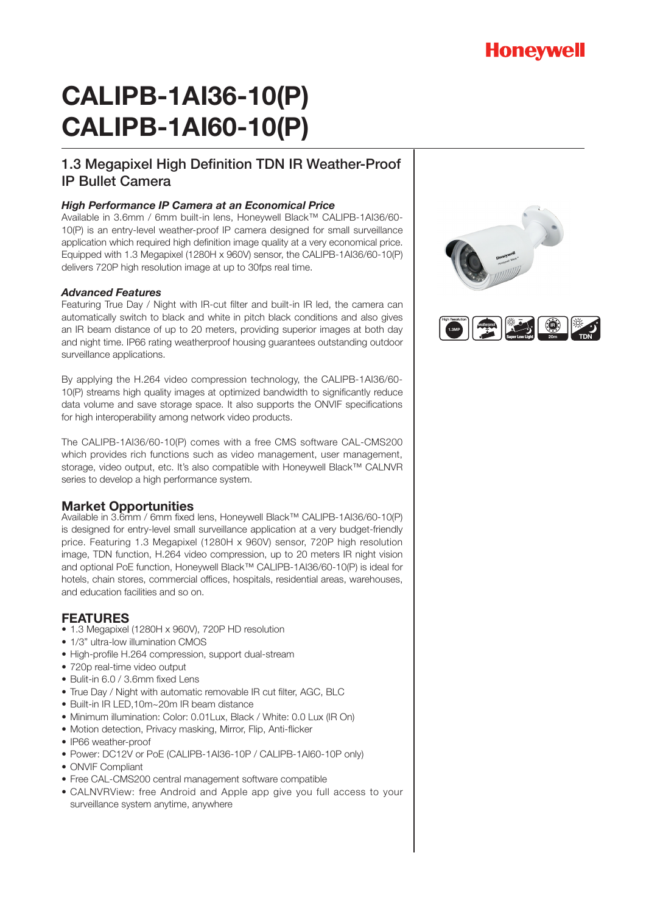## **Honeywell**

# **CALIPB-1AI36-10(P) CALIPB-1AI60-10(P)**

### 1.3 Megapixel High Definition TDN IR Weather-Proof IP Bullet Camera

#### *High Performance IP Camera at an Economical Price*

Available in 3.6mm / 6mm built-in lens, Honeywell Black™ CALIPB-1AI36/60- 10(P) is an entry-level weather-proof IP camera designed for small surveillance application which required high definition image quality at a very economical price. Equipped with 1.3 Megapixel (1280H x 960V) sensor, the CALIPB-1AI36/60-10(P) delivers 720P high resolution image at up to 30fps real time.

#### *Advanced Features*

Featuring True Day / Night with IR-cut filter and built-in IR led, the camera can automatically switch to black and white in pitch black conditions and also gives an IR beam distance of up to 20 meters, providing superior images at both day and night time. IP66 rating weatherproof housing guarantees outstanding outdoor surveillance applications.

By applying the H.264 video compression technology, the CALIPB-1AI36/60- 10(P) streams high quality images at optimized bandwidth to significantly reduce data volume and save storage space. It also supports the ONVIF specifications for high interoperability among network video products.

The CALIPB-1AI36/60-10(P) comes with a free CMS software CAL-CMS200 which provides rich functions such as video management, user management, storage, video output, etc. It's also compatible with Honeywell Black™ CALNVR series to develop a high performance system.

#### **Market Opportunities**

Available in 3.6mm / 6mm fixed lens, Honeywell Black™ CALIPB-1AI36/60-10(P) is designed for entry-level small surveillance application at a very budget-friendly price. Featuring 1.3 Megapixel (1280H x 960V) sensor, 720P high resolution image, TDN function, H.264 video compression, up to 20 meters IR night vision and optional PoE function, Honeywell Black™ CALIPB-1AI36/60-10(P) is ideal for hotels, chain stores, commercial offices, hospitals, residential areas, warehouses, and education facilities and so on.

#### **FEATURES**

- 1.3 Megapixel (1280H x 960V), 720P HD resolution
- 1/3" ultra-low illumination CMOS
- High-profile H.264 compression, support dual-stream
- 720p real-time video output
- Bulit-in 6.0 / 3.6mm fixed Lens
- True Day / Night with automatic removable IR cut filter, AGC, BLC
- Built-in IR LED,10m~20m IR beam distance
- Minimum illumination: Color: 0.01Lux, Black / White: 0.0 Lux (IR On)
- Motion detection, Privacy masking, Mirror, Flip, Anti-flicker
- IP66 weather-proof
- Power: DC12V or PoE (CALIPB-1AI36-10P / CALIPB-1AI60-10P only)
- ONVIF Compliant
- Free CAL-CMS200 central management software compatible
- CALNVRView: free Android and Apple app give you full access to your surveillance system anytime, anywhere



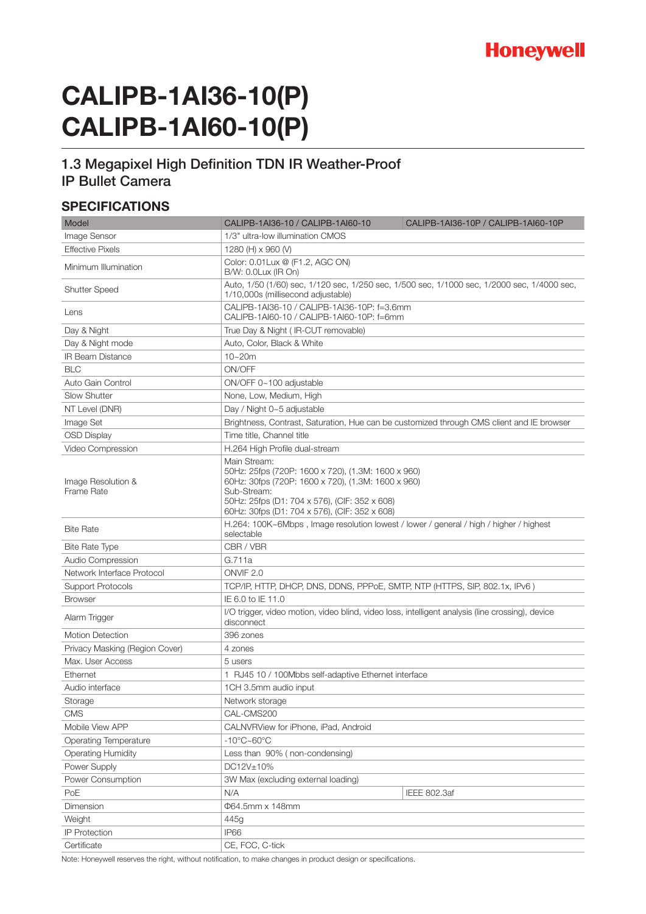

# **CALIPB-1AI36-10(P) CALIPB-1AI60-10(P)**

#### 1.3 Megapixel High Definition TDN IR Weather-Proof IP Bullet Camera

#### **SPECIFICATIONS**

| Model                            | CALIPB-1AI36-10 / CALIPB-1AI60-10<br>CALIPB-1AI36-10P / CALIPB-1AI60-10P                                                                                                                                                                  |
|----------------------------------|-------------------------------------------------------------------------------------------------------------------------------------------------------------------------------------------------------------------------------------------|
| Image Sensor                     | 1/3" ultra-low illumination CMOS                                                                                                                                                                                                          |
| <b>Effective Pixels</b>          | 1280 (H) x 960 (V)                                                                                                                                                                                                                        |
| Minimum Illumination             | Color: 0.01 Lux @ (F1.2, AGC ON)<br>B/W: 0.0Lux (IR On)                                                                                                                                                                                   |
| <b>Shutter Speed</b>             | Auto, 1/50 (1/60) sec, 1/120 sec, 1/250 sec, 1/500 sec, 1/1000 sec, 1/2000 sec, 1/4000 sec,<br>1/10,000s (millisecond adjustable)                                                                                                         |
| Lens                             | CALIPB-1AI36-10 / CALIPB-1AI36-10P: f=3.6mm<br>CALIPB-1AI60-10 / CALIPB-1AI60-10P: f=6mm                                                                                                                                                  |
| Day & Night                      | True Day & Night ( IR-CUT removable)                                                                                                                                                                                                      |
| Day & Night mode                 | Auto, Color, Black & White                                                                                                                                                                                                                |
| <b>IR Beam Distance</b>          | $10 - 20m$                                                                                                                                                                                                                                |
| <b>BLC</b>                       | ON/OFF                                                                                                                                                                                                                                    |
| Auto Gain Control                | ON/OFF 0~100 adjustable                                                                                                                                                                                                                   |
| <b>Slow Shutter</b>              | None, Low, Medium, High                                                                                                                                                                                                                   |
| NT Level (DNR)                   | Day / Night 0~5 adjustable                                                                                                                                                                                                                |
| Image Set                        | Brightness, Contrast, Saturation, Hue can be customized through CMS client and IE browser                                                                                                                                                 |
| <b>OSD Display</b>               | Time title, Channel title                                                                                                                                                                                                                 |
| Video Compression                | H.264 High Profile dual-stream                                                                                                                                                                                                            |
| Image Resolution &<br>Frame Rate | Main Stream:<br>50Hz: 25fps (720P: 1600 x 720), (1.3M: 1600 x 960)<br>60Hz: 30fps (720P: 1600 x 720), (1.3M: 1600 x 960)<br>Sub-Stream:<br>50Hz: 25fps (D1: 704 x 576), (CIF: 352 x 608)<br>60Hz: 30fps (D1: 704 x 576), (CIF: 352 x 608) |
| <b>Bite Rate</b>                 | H.264: 100K~6Mbps, Image resolution lowest / lower / general / high / higher / highest<br>selectable                                                                                                                                      |
| <b>Bite Rate Type</b>            | CBR / VBR                                                                                                                                                                                                                                 |
| Audio Compression                | G.711a                                                                                                                                                                                                                                    |
| Network Interface Protocol       | ONVIF <sub>2.0</sub>                                                                                                                                                                                                                      |
| <b>Support Protocols</b>         | TCP/IP, HTTP, DHCP, DNS, DDNS, PPPoE, SMTP, NTP (HTTPS, SIP, 802.1x, IPv6 )                                                                                                                                                               |
| <b>Browser</b>                   | IE 6.0 to IE 11.0                                                                                                                                                                                                                         |
| Alarm Trigger                    | I/O trigger, video motion, video blind, video loss, intelligent analysis (line crossing), device<br>disconnect                                                                                                                            |
| <b>Motion Detection</b>          | 396 zones                                                                                                                                                                                                                                 |
| Privacy Masking (Region Cover)   | 4 zones                                                                                                                                                                                                                                   |
| Max. User Access                 | 5 users                                                                                                                                                                                                                                   |
| Ethernet                         | 1 RJ45 10 / 100Mbbs self-adaptive Ethernet interface                                                                                                                                                                                      |
| Audio interface                  | 1CH 3.5mm audio input                                                                                                                                                                                                                     |
| Storage                          | Network storage                                                                                                                                                                                                                           |
| <b>CMS</b>                       | CAL-CMS200                                                                                                                                                                                                                                |
| Mobile View APP                  | CALNVRView for iPhone, iPad, Android                                                                                                                                                                                                      |
| <b>Operating Temperature</b>     | $-10^{\circ}$ C $\sim$ 60 $^{\circ}$ C                                                                                                                                                                                                    |
| <b>Operating Humidity</b>        | Less than 90% (non-condensing)                                                                                                                                                                                                            |
| Power Supply                     | DC12V±10%                                                                                                                                                                                                                                 |
| Power Consumption                | 3W Max (excluding external loading)                                                                                                                                                                                                       |
| PoE                              | N/A<br>IEEE 802.3af                                                                                                                                                                                                                       |
| Dimension                        | Φ64.5mm x 148mm                                                                                                                                                                                                                           |
| Weight                           | 445g                                                                                                                                                                                                                                      |
| <b>IP Protection</b>             | <b>IP66</b>                                                                                                                                                                                                                               |
| Certificate                      | CE, FCC, C-tick                                                                                                                                                                                                                           |

Note: Honeywell reserves the right, without notification, to make changes in product design or specifications.